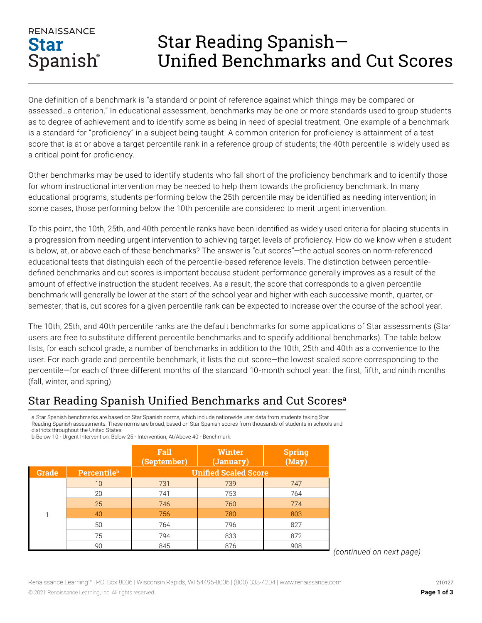## **RENAISSANCE Star** Spanish®

## Star Reading Spanish— Unified Benchmarks and Cut Scores

One definition of a benchmark is "a standard or point of reference against which things may be compared or assessed…a criterion." In educational assessment, benchmarks may be one or more standards used to group students as to degree of achievement and to identify some as being in need of special treatment. One example of a benchmark is a standard for "proficiency" in a subject being taught. A common criterion for proficiency is attainment of a test score that is at or above a target percentile rank in a reference group of students; the 40th percentile is widely used as a critical point for proficiency.

Other benchmarks may be used to identify students who fall short of the proficiency benchmark and to identify those for whom instructional intervention may be needed to help them towards the proficiency benchmark. In many educational programs, students performing below the 25th percentile may be identified as needing intervention; in some cases, those performing below the 10th percentile are considered to merit urgent intervention.

To this point, the 10th, 25th, and 40th percentile ranks have been identified as widely used criteria for placing students in a progression from needing urgent intervention to achieving target levels of proficiency. How do we know when a student is below, at, or above each of these benchmarks? The answer is "cut scores"—the actual scores on norm-referenced educational tests that distinguish each of the percentile-based reference levels. The distinction between percentiledefined benchmarks and cut scores is important because student performance generally improves as a result of the amount of effective instruction the student receives. As a result, the score that corresponds to a given percentile benchmark will generally be lower at the start of the school year and higher with each successive month, quarter, or semester; that is, cut scores for a given percentile rank can be expected to increase over the course of the school year.

The 10th, 25th, and 40th percentile ranks are the default benchmarks for some applications of Star assessments (Star users are free to substitute different percentile benchmarks and to specify additional benchmarks). The table below lists, for each school grade, a number of benchmarks in addition to the 10th, 25th and 40th as a convenience to the user. For each grade and percentile benchmark, it lists the cut score—the lowest scaled score corresponding to the percentile—for each of three different months of the standard 10-month school year: the first, fifth, and ninth months (fall, winter, and spring).

## Star Reading Spanish Unified Benchmarks and Cut Scores<sup>a</sup>

a.Star Spanish benchmarks are based on Star Spanish norms, which include nationwide user data from students taking Star Reading Spanish assessments. These norms are broad, based on Star Spanish scores from thousands of students in schools and districts throughout the United States.

| b. Below 10 - Urgent Intervention; Below 25 - Intervention; At/Above 40 - Benchmark. |  |
|--------------------------------------------------------------------------------------|--|
|--------------------------------------------------------------------------------------|--|

|              |                                | Fall<br>(September)         | <b>Winter</b><br>(January) | Spring<br>(May) |  |
|--------------|--------------------------------|-----------------------------|----------------------------|-----------------|--|
| <b>Grade</b> | <b>Percentile</b> <sup>b</sup> | <b>Unified Scaled Score</b> |                            |                 |  |
| 1            | 10                             | 731                         | 739                        | 747             |  |
|              | 20                             | 741                         | 753                        | 764             |  |
|              | 25                             | 746                         | 760                        | 774             |  |
|              | 40                             | 756                         | 780                        | 803             |  |
|              | 50                             | 764                         | 796                        | 827             |  |
|              | 75                             | 794                         | 833                        | 872             |  |
|              | 90                             | 845                         | 876                        | 908             |  |

<sup>90</sup> <sup>845</sup> <sup>876</sup> <sup>908</sup> *(continued on next page)*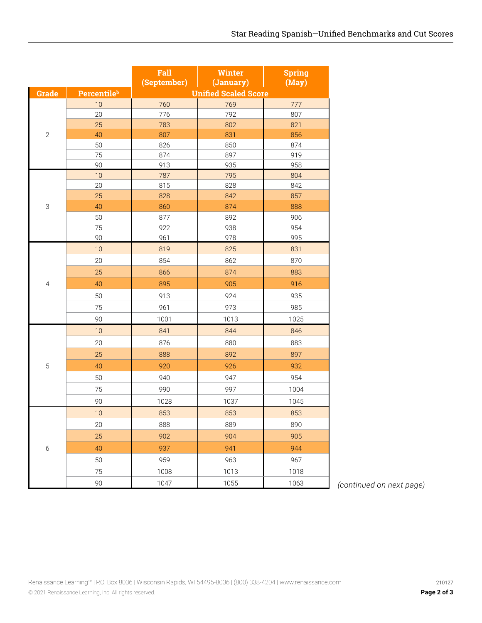|                |                                | Fall<br>(September)         | Winter<br>(January) | <b>Spring</b><br>(May) |  |  |
|----------------|--------------------------------|-----------------------------|---------------------|------------------------|--|--|
| <b>Grade</b>   | <b>Percentile</b> <sup>b</sup> | <b>Unified Scaled Score</b> |                     |                        |  |  |
|                | 10                             | 760                         | 769                 | 777                    |  |  |
|                | 20                             | 776                         | 792                 | 807                    |  |  |
|                | 25                             | 783                         | 802                 | 821                    |  |  |
| $\overline{2}$ | 40                             | 807                         | 831                 | 856                    |  |  |
|                | 50                             | 826                         | 850                 | 874                    |  |  |
|                | 75                             | 874                         | 897                 | 919                    |  |  |
|                | 90                             | 913                         | 935                 | 958                    |  |  |
|                | 10                             | 787                         | 795                 | 804                    |  |  |
|                | 20                             | 815                         | 828                 | 842                    |  |  |
|                | 25                             | 828                         | 842                 | 857                    |  |  |
| 3              | 40                             | 860                         | 874                 | 888                    |  |  |
|                | 50                             | 877                         | 892                 | 906                    |  |  |
|                | 75<br>90                       | 922                         | 938<br>978          | 954<br>995             |  |  |
|                | 10                             | 961<br>819                  | 825                 | 831                    |  |  |
|                |                                |                             |                     |                        |  |  |
|                | 20                             | 854                         | 862                 | 870                    |  |  |
|                | 25                             | 866                         | 874                 | 883                    |  |  |
| 4              | 40                             | 895                         | 905                 | 916                    |  |  |
|                | 50                             | 913                         | 924                 | 935                    |  |  |
|                | 75                             | 961                         | 973                 | 985                    |  |  |
|                | 90                             | 1001                        | 1013                | 1025                   |  |  |
|                | 10                             | 841                         | 844                 | 846                    |  |  |
|                | 20                             | 876                         | 880                 | 883                    |  |  |
|                | 25                             | 888                         | 892                 | 897                    |  |  |
| 5              | 40                             | 920                         | 926                 | 932                    |  |  |
|                | 50                             | 940                         | 947                 | 954                    |  |  |
|                | 75                             | 990                         | 997                 | 1004                   |  |  |
|                | 90                             | 1028                        | 1037                | 1045                   |  |  |
|                | 10                             | 853                         | 853                 | 853                    |  |  |
|                | 20                             | 888                         | 889                 | 890                    |  |  |
| 6              |                                |                             |                     |                        |  |  |
|                | 25                             | 902                         | 904                 | 905                    |  |  |
|                | 40                             | 937                         | 941                 | 944                    |  |  |
|                | 50                             | 959                         | 963                 | 967                    |  |  |
|                | 75                             | 1008                        | 1013                | 1018                   |  |  |
|                | 90                             | 1047                        | 1055                | 1063                   |  |  |

1047 1055 1063 *(continued on next page)*